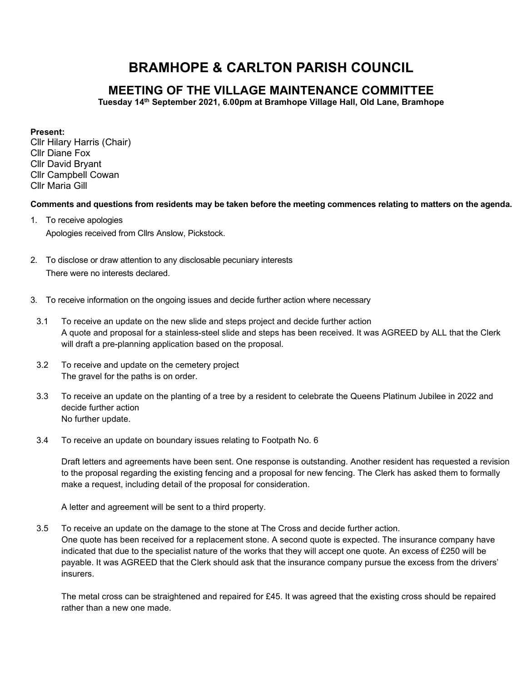## BRAMHOPE & CARLTON PARISH COUNCIL

## MEETING OF THE VILLAGE MAINTENANCE COMMITTEE

Tuesday 14th September 2021, 6.00pm at Bramhope Village Hall, Old Lane, Bramhope

## Present:

Cllr Hilary Harris (Chair) Cllr Diane Fox Cllr David Bryant Cllr Campbell Cowan Cllr Maria Gill

Comments and questions from residents may be taken before the meeting commences relating to matters on the agenda.

- 1. To receive apologies Apologies received from Cllrs Anslow, Pickstock.
- 2. To disclose or draw attention to any disclosable pecuniary interests There were no interests declared.
- 3. To receive information on the ongoing issues and decide further action where necessary
- 3.1 To receive an update on the new slide and steps project and decide further action A quote and proposal for a stainless-steel slide and steps has been received. It was AGREED by ALL that the Clerk will draft a pre-planning application based on the proposal.
- 3.2 To receive and update on the cemetery project The gravel for the paths is on order.
- 3.3 To receive an update on the planting of a tree by a resident to celebrate the Queens Platinum Jubilee in 2022 and decide further action No further update.
- 3.4 To receive an update on boundary issues relating to Footpath No. 6

Draft letters and agreements have been sent. One response is outstanding. Another resident has requested a revision to the proposal regarding the existing fencing and a proposal for new fencing. The Clerk has asked them to formally make a request, including detail of the proposal for consideration.

A letter and agreement will be sent to a third property.

3.5 To receive an update on the damage to the stone at The Cross and decide further action.

One quote has been received for a replacement stone. A second quote is expected. The insurance company have indicated that due to the specialist nature of the works that they will accept one quote. An excess of £250 will be payable. It was AGREED that the Clerk should ask that the insurance company pursue the excess from the drivers' insurers.

The metal cross can be straightened and repaired for £45. It was agreed that the existing cross should be repaired rather than a new one made.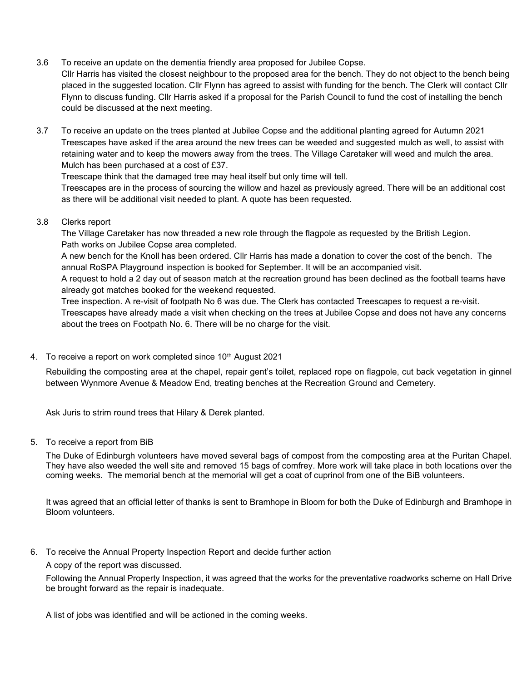- 3.6 To receive an update on the dementia friendly area proposed for Jubilee Copse. Cllr Harris has visited the closest neighbour to the proposed area for the bench. They do not object to the bench being placed in the suggested location. Cllr Flynn has agreed to assist with funding for the bench. The Clerk will contact Cllr Flynn to discuss funding. Cllr Harris asked if a proposal for the Parish Council to fund the cost of installing the bench could be discussed at the next meeting.
- 3.7 To receive an update on the trees planted at Jubilee Copse and the additional planting agreed for Autumn 2021 Treescapes have asked if the area around the new trees can be weeded and suggested mulch as well, to assist with retaining water and to keep the mowers away from the trees. The Village Caretaker will weed and mulch the area. Mulch has been purchased at a cost of £37.

Treescape think that the damaged tree may heal itself but only time will tell.

Treescapes are in the process of sourcing the willow and hazel as previously agreed. There will be an additional cost as there will be additional visit needed to plant. A quote has been requested.

3.8 Clerks report

The Village Caretaker has now threaded a new role through the flagpole as requested by the British Legion. Path works on Jubilee Copse area completed.

A new bench for the Knoll has been ordered. Cllr Harris has made a donation to cover the cost of the bench. The annual RoSPA Playground inspection is booked for September. It will be an accompanied visit.

A request to hold a 2 day out of season match at the recreation ground has been declined as the football teams have already got matches booked for the weekend requested.

Tree inspection. A re-visit of footpath No 6 was due. The Clerk has contacted Treescapes to request a re-visit.

Treescapes have already made a visit when checking on the trees at Jubilee Copse and does not have any concerns about the trees on Footpath No. 6. There will be no charge for the visit.

4. To receive a report on work completed since 10<sup>th</sup> August 2021

Rebuilding the composting area at the chapel, repair gent's toilet, replaced rope on flagpole, cut back vegetation in ginnel between Wynmore Avenue & Meadow End, treating benches at the Recreation Ground and Cemetery.

Ask Juris to strim round trees that Hilary & Derek planted.

5. To receive a report from BiB

The Duke of Edinburgh volunteers have moved several bags of compost from the composting area at the Puritan Chapel. They have also weeded the well site and removed 15 bags of comfrey. More work will take place in both locations over the coming weeks. The memorial bench at the memorial will get a coat of cuprinol from one of the BiB volunteers.

It was agreed that an official letter of thanks is sent to Bramhope in Bloom for both the Duke of Edinburgh and Bramhope in Bloom volunteers.

6. To receive the Annual Property Inspection Report and decide further action

A copy of the report was discussed.

Following the Annual Property Inspection, it was agreed that the works for the preventative roadworks scheme on Hall Drive be brought forward as the repair is inadequate.

A list of jobs was identified and will be actioned in the coming weeks.